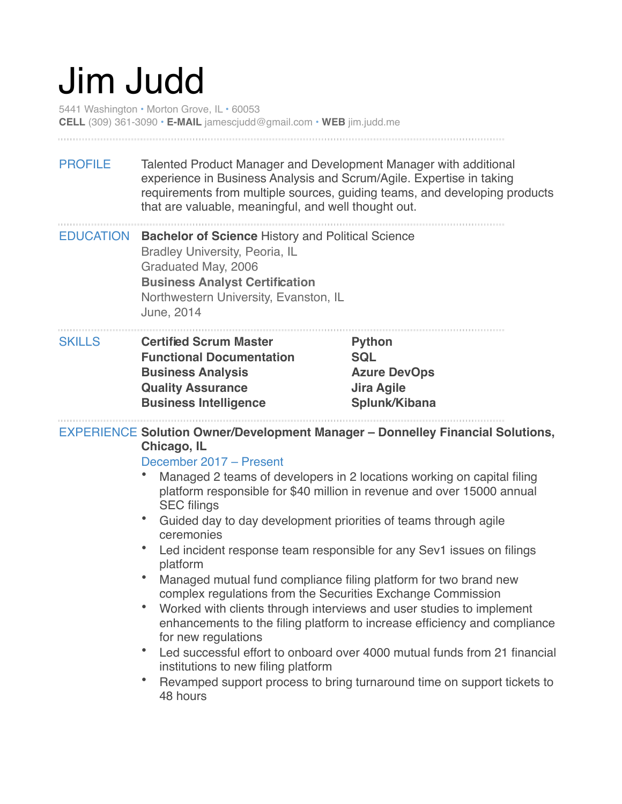# Jim Judd

5441 Washington • Morton Grove, IL • 60053 **CELL** (309) 361-3090 • **E-MAIL** jamescjudd@gmail.com • **WEB** jim.judd.me

PROFILE Talented Product Manager and Development Manager with additional experience in Business Analysis and Scrum/Agile. Expertise in taking requirements from multiple sources, guiding teams, and developing products that are valuable, meaningful, and well thought out.

EDUCATION **Bachelor of Science** History and Political Science Bradley University, Peoria, IL Graduated May, 2006 **Business Analyst Certification** Northwestern University, Evanston, IL June, 2014

| <b>SKILLS</b> | <b>Certified Scrum Master</b>   | <b>Python</b>       |  |
|---------------|---------------------------------|---------------------|--|
|               | <b>Functional Documentation</b> | <b>SQL</b>          |  |
|               | <b>Business Analysis</b>        | <b>Azure DevOps</b> |  |
|               | <b>Quality Assurance</b>        | Jira Agile          |  |
|               | <b>Business Intelligence</b>    | Splunk/Kibana       |  |
|               |                                 |                     |  |

EXPERIENCE **Solution Owner/Development Manager – Donnelley Financial Solutions, Chicago, IL**

#### December 2017 – Present

- Managed 2 teams of developers in 2 locations working on capital filing platform responsible for \$40 million in revenue and over 15000 annual SEC filings
- Guided day to day development priorities of teams through agile ceremonies
- Led incident response team responsible for any Sev1 issues on filings platform
- Managed mutual fund compliance filing platform for two brand new complex regulations from the Securities Exchange Commission
- Worked with clients through interviews and user studies to implement enhancements to the filing platform to increase efficiency and compliance for new regulations
- Led successful effort to onboard over 4000 mutual funds from 21 financial institutions to new filing platform
- Revamped support process to bring turnaround time on support tickets to 48 hours